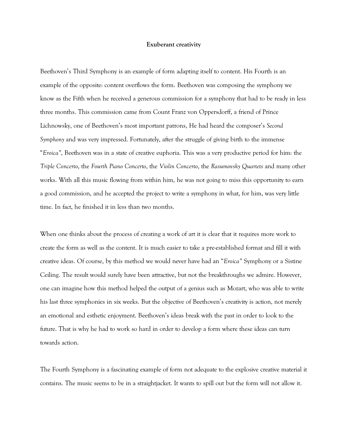## **Exuberant creativity**

Beethoven's Third Symphony is an example of form adapting itself to content. His Fourth is an example of the opposite: content overflows the form. Beethoven was composing the symphony we know as the Fifth when he received a generous commission for a symphony that had to be ready in less three months. This commission came from Count Franz von Oppersdorff, a friend of Prince Lichnowsky, one of Beethoven's most important patrons, He had heard the composer's *Second Symphony* and was very impressed. Fortunately, after the struggle of giving birth to the immense "*Eroica"*, Beethoven was in a state of creative euphoria. This was a very productive period for him: the *Triple Concerto*, the *Fourth Piano Concerto*, the *Violin Concerto*, the *Rasumovsky Quartets* and many other works. With all this music flowing from within him, he was not going to miss this opportunity to earn a good commission, and he accepted the project to write a symphony in what, for him, was very little time. In fact, he finished it in less than two months.

When one thinks about the process of creating a work of art it is clear that it requires more work to create the form as well as the content. It is much easier to take a pre-established format and fill it with creative ideas. Of course, by this method we would never have had an "*Eroica"* Symphony or a Sistine Ceiling. The result would surely have been attractive, but not the breakthroughs we admire. However, one can imagine how this method helped the output of a genius such as Mozart, who was able to write his last three symphonies in six weeks. But the objective of Beethoven's creativity is action, not merely an emotional and esthetic enjoyment. Beethoven's ideas break with the past in order to look to the future. That is why he had to work so hard in order to develop a form where these ideas can turn towards action.

The Fourth Symphony is a fascinating example of form not adequate to the explosive creative material it contains. The music seems to be in a straightjacket. It wants to spill out but the form will not allow it.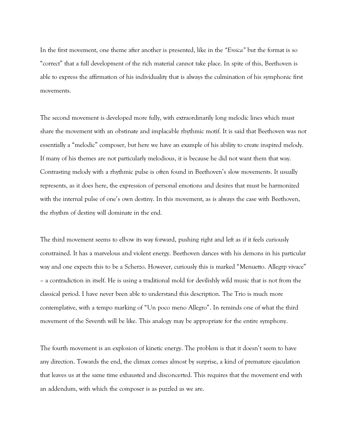In the first movement, one theme after another is presented, like in the *"Eroica"* but the format is so "correct" that a full development of the rich material cannot take place. In spite of this, Beethoven is able to express the affirmation of his individuality that is always the culmination of his symphonic first movements.

The second movement is developed more fully, with extraordinarily long melodic lines which must share the movement with an obstinate and implacable rhythmic motif. It is said that Beethoven was not essentially a "melodic" composer, but here we have an example of his ability to create inspired melody. If many of his themes are not particularly melodious, it is because he did not want them that way. Contrasting melody with a rhythmic pulse is often found in Beethoven's slow movements. It usually represents, as it does here, the expression of personal emotions and desires that must be harmonized with the internal pulse of one's own destiny. In this movement, as is always the case with Beethoven, the rhythm of destiny will dominate in the end.

The third movement seems to elbow its way forward, pushing right and left as if it feels curiously constrained. It has a marvelous and violent energy. Beethoven dances with his demons in his particular way and one expects this to be a Scherzo. However, curiously this is marked "Menuetto. Allegrp vivace" – a contradiction in itself. He is using a traditional mold for devilishly wild music that is not from the classical period. I have never been able to understand this description. The Trio is much more contemplative, with a tempo marking of "Un poco meno Allegro". In reminds one of what the third movement of the Seventh will be like. This analogy may be appropriate for the entire symphony.

The fourth movement is an explosion of kinetic energy. The problem is that it doesn't seem to have any direction. Towards the end, the climax comes almost by surprise, a kind of premature ejaculation that leaves us at the same time exhausted and disconcerted. This requires that the movement end with an addendum, with which the composer is as puzzled as we are.